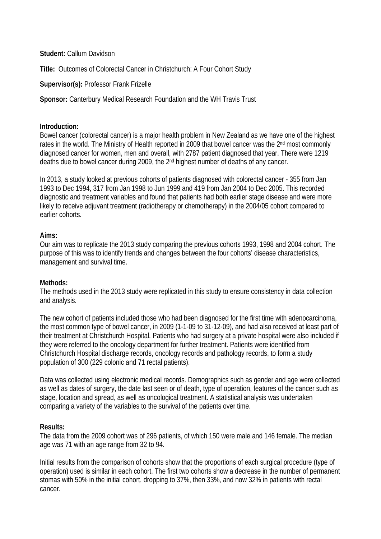**Student:** Callum Davidson

**Title:** Outcomes of Colorectal Cancer in Christchurch: A Four Cohort Study

# **Supervisor(s):** Professor Frank Frizelle

**Sponsor:** Canterbury Medical Research Foundation and the WH Travis Trust

## **Introduction:**

Bowel cancer (colorectal cancer) is a major health problem in New Zealand as we have one of the highest rates in the world. The Ministry of Health reported in 2009 that bowel cancer was the 2<sup>nd</sup> most commonly diagnosed cancer for women, men and overall, with 2787 patient diagnosed that year. There were 1219 deaths due to bowel cancer during 2009, the 2nd highest number of deaths of any cancer.

In 2013, a study looked at previous cohorts of patients diagnosed with colorectal cancer - 355 from Jan 1993 to Dec 1994, 317 from Jan 1998 to Jun 1999 and 419 from Jan 2004 to Dec 2005. This recorded diagnostic and treatment variables and found that patients had both earlier stage disease and were more likely to receive adjuvant treatment (radiotherapy or chemotherapy) in the 2004/05 cohort compared to earlier cohorts.

### **Aims:**

Our aim was to replicate the 2013 study comparing the previous cohorts 1993, 1998 and 2004 cohort. The purpose of this was to identify trends and changes between the four cohorts' disease characteristics, management and survival time.

#### **Methods:**

The methods used in the 2013 study were replicated in this study to ensure consistency in data collection and analysis.

The new cohort of patients included those who had been diagnosed for the first time with adenocarcinoma, the most common type of bowel cancer, in 2009 (1-1-09 to 31-12-09), and had also received at least part of their treatment at Christchurch Hospital. Patients who had surgery at a private hospital were also included if they were referred to the oncology department for further treatment. Patients were identified from Christchurch Hospital discharge records, oncology records and pathology records, to form a study population of 300 (229 colonic and 71 rectal patients).

Data was collected using electronic medical records. Demographics such as gender and age were collected as well as dates of surgery, the date last seen or of death, type of operation, features of the cancer such as stage, location and spread, as well as oncological treatment. A statistical analysis was undertaken comparing a variety of the variables to the survival of the patients over time.

## **Results:**

The data from the 2009 cohort was of 296 patients, of which 150 were male and 146 female. The median age was 71 with an age range from 32 to 94.

Initial results from the comparison of cohorts show that the proportions of each surgical procedure (type of operation) used is similar in each cohort. The first two cohorts show a decrease in the number of permanent stomas with 50% in the initial cohort, dropping to 37%, then 33%, and now 32% in patients with rectal cancer.